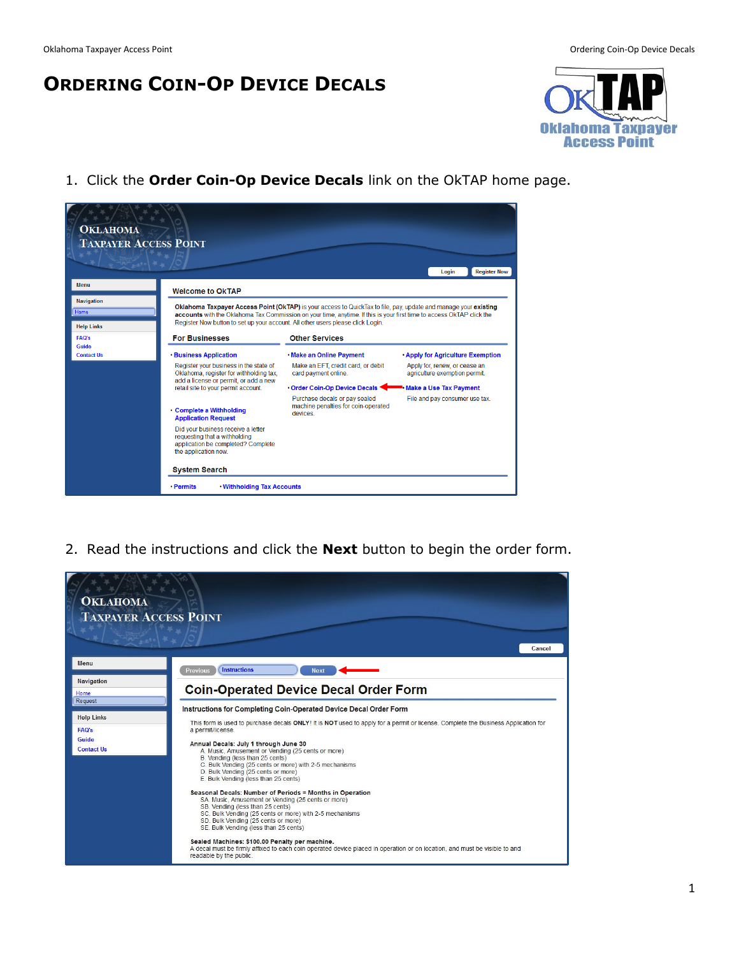## **ORDERING COIN-OP DEVICE DECALS**



1. Click the **Order Coin-Op Device Decals** link on the OkTAP home page.



2. Read the instructions and click the **Next** button to begin the order form.

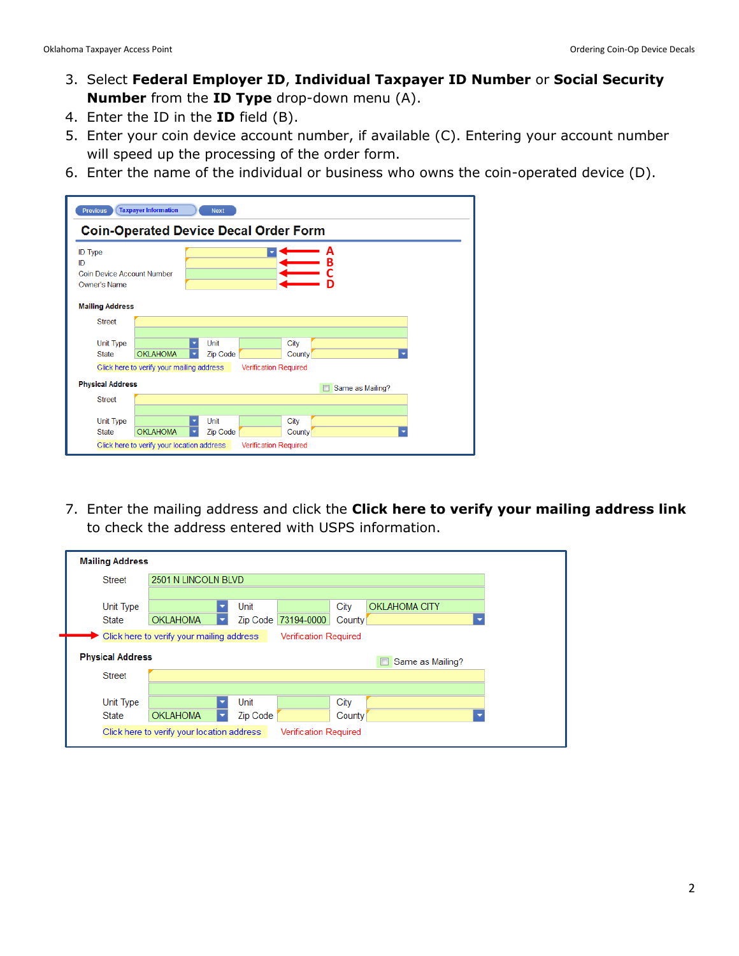- 3. Select **Federal Employer ID**, **Individual Taxpayer ID Number** or **Social Security Number** from the **ID Type** drop-down menu (A).
- 4. Enter the ID in the **ID** field (B).
- 5. Enter your coin device account number, if available (C). Entering your account number will speed up the processing of the order form.
- 6. Enter the name of the individual or business who owns the coin-operated device (D).

| <b>Previous</b>                                                    | <b>Taxpayer Information</b>                | <b>Next</b>                                  |                              |
|--------------------------------------------------------------------|--------------------------------------------|----------------------------------------------|------------------------------|
|                                                                    |                                            | <b>Coin-Operated Device Decal Order Form</b> |                              |
| <b>ID</b> Type<br>ID<br>Coin Device Account Number<br>Owner's Name |                                            |                                              | A<br>B                       |
| <b>Mailing Address</b>                                             |                                            |                                              |                              |
| <b>Street</b><br><b>Unit Type</b><br><b>State</b>                  | <b>OKLAHOMA</b>                            | Unit<br><b>Zip Code</b>                      | City<br>County               |
|                                                                    | Click here to verify your mailing address  |                                              | <b>Verification Required</b> |
| <b>Physical Address</b>                                            |                                            |                                              | Same as Mailing?             |
| <b>Street</b>                                                      |                                            |                                              |                              |
| Unit Type<br><b>State</b>                                          | <b>OKLAHOMA</b>                            | Unit<br><b>Zip Code</b>                      | City<br>County               |
|                                                                    | Click here to verify your location address |                                              | <b>Verification Required</b> |

7. Enter the mailing address and click the **Click here to verify your mailing address link** to check the address entered with USPS information.

| <b>Mailing Address</b>    |                                           |                         |                              |                |                       |
|---------------------------|-------------------------------------------|-------------------------|------------------------------|----------------|-----------------------|
| <b>Street</b>             | 2501 N LINCOLN BLVD                       |                         |                              |                |                       |
| Unit Type<br><b>State</b> | <b>OKLAHOMA</b>                           | Unit<br><b>Zip Code</b> | 73194-0000                   | City<br>County | <b>OKLAHOMA CITY</b>  |
|                           | Click here to verify your mailing address |                         | <b>Verification Required</b> |                |                       |
| <b>Physical Address</b>   |                                           |                         |                              |                | П<br>Same as Mailing? |
| <b>Street</b>             |                                           |                         |                              |                |                       |
|                           |                                           |                         |                              |                |                       |
| <b>Unit Type</b>          |                                           | Unit                    |                              | City           |                       |
| <b>State</b>              | <b>OKLAHOMA</b>                           | Zip Code                |                              | County         |                       |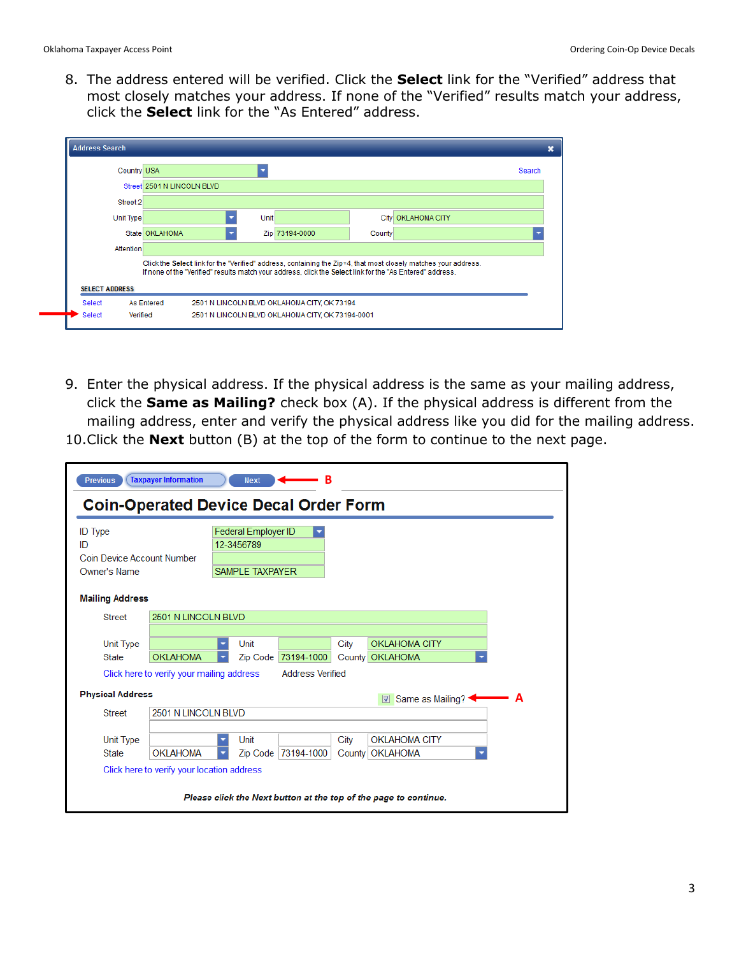8. The address entered will be verified. Click the **Select** link for the "Verified" address that most closely matches your address. If none of the "Verified" results match your address, click the **Select** link for the "As Entered" address.

|                       | <b>Country USA</b>         |                                                                                                                                                                                                                              |        |                      | Search |
|-----------------------|----------------------------|------------------------------------------------------------------------------------------------------------------------------------------------------------------------------------------------------------------------------|--------|----------------------|--------|
|                       | Street 2501 N LINCOLN BLVD |                                                                                                                                                                                                                              |        |                      |        |
| Street 2              |                            |                                                                                                                                                                                                                              |        |                      |        |
| <b>Unit Type</b>      |                            | <b>Unit</b>                                                                                                                                                                                                                  |        | City   OKLAHOMA CITY |        |
|                       | State OKLAHOMA             | Zip 73194-0000                                                                                                                                                                                                               | County |                      |        |
| <b>Attention</b>      |                            |                                                                                                                                                                                                                              |        |                      |        |
|                       |                            | Click the Select link for the "Verified" address, containing the Zip+4, that most closely matches your address.<br>If none of the "Verified" results match your address, click the Select link for the "As Entered" address. |        |                      |        |
| <b>SELECT ADDRESS</b> |                            |                                                                                                                                                                                                                              |        |                      |        |

- 9. Enter the physical address. If the physical address is the same as your mailing address, click the **Same as Mailing?** check box (A). If the physical address is different from the mailing address, enter and verify the physical address like you did for the mailing address.
- 10.Click the **Next** button (B) at the top of the form to continue to the next page.

|                                            |                                            | <b>Coin-Operated Device Decal Order Form</b> |                         |      |                                  |   |
|--------------------------------------------|--------------------------------------------|----------------------------------------------|-------------------------|------|----------------------------------|---|
| <b>ID</b> Type                             |                                            | Federal Employer ID                          |                         |      |                                  |   |
| ID                                         |                                            | 12-3456789                                   |                         |      |                                  |   |
| Coin Device Account Number<br>Owner's Name |                                            | <b>SAMPLE TAXPAYER</b>                       |                         |      |                                  |   |
|                                            |                                            |                                              |                         |      |                                  |   |
| <b>Mailing Address</b>                     |                                            |                                              |                         |      |                                  |   |
| <b>Street</b>                              | 2501 N LINCOLN BLVD                        |                                              |                         |      |                                  |   |
|                                            |                                            |                                              |                         |      |                                  |   |
| Unit Type                                  |                                            | Unit                                         |                         | City | <b>OKLAHOMA CITY</b>             |   |
| <b>State</b>                               | <b>OKLAHOMA</b>                            |                                              | Zip Code 73194-1000     |      | County OKLAHOMA                  |   |
|                                            | Click here to verify your mailing address  |                                              | <b>Address Verified</b> |      |                                  |   |
| <b>Physical Address</b>                    |                                            |                                              |                         |      |                                  |   |
|                                            |                                            |                                              |                         |      | $\triangledown$ Same as Mailing? | A |
| <b>Street</b>                              | 2501 N LINCOLN BLVD                        |                                              |                         |      |                                  |   |
| Unit Type                                  |                                            | Unit<br>۰                                    |                         | City | <b>OKLAHOMA CITY</b>             |   |
| <b>State</b>                               | <b>OKLAHOMA</b>                            |                                              | Zip Code   73194-1000   |      | County   OKLAHOMA                |   |
|                                            | Click here to verify your location address |                                              |                         |      |                                  |   |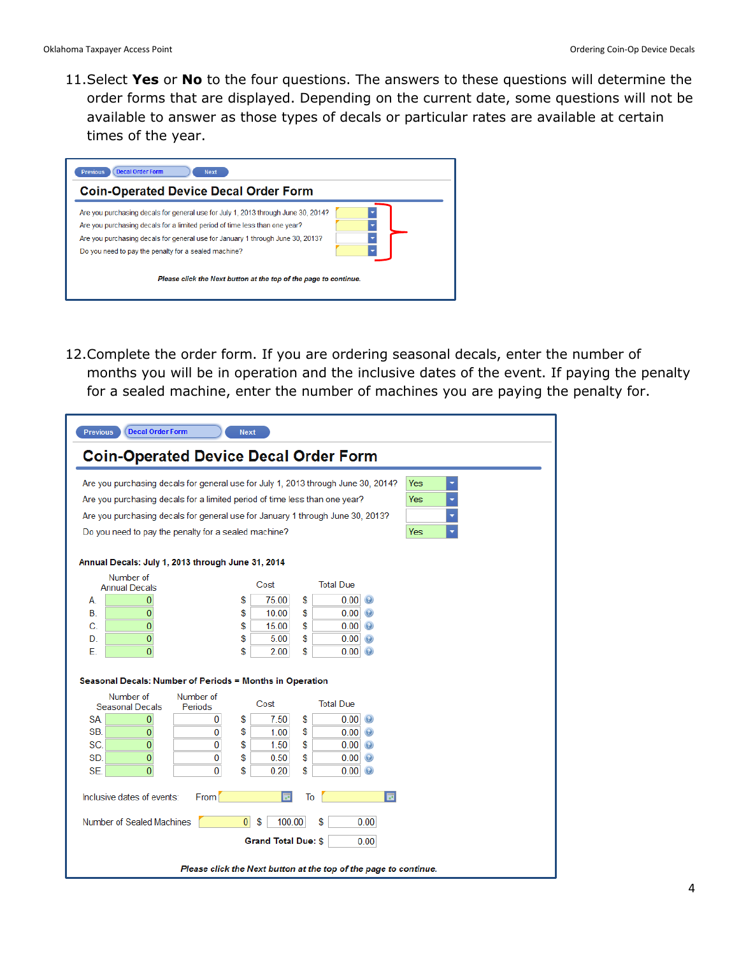11.Select **Yes** or **No** to the four questions. The answers to these questions will determine the order forms that are displayed. Depending on the current date, some questions will not be available to answer as those types of decals or particular rates are available at certain times of the year.

| <b>Decal Order Form</b><br><b>Previous</b><br><b>Next</b>                                                                                                                                                                                                                                                 |  |
|-----------------------------------------------------------------------------------------------------------------------------------------------------------------------------------------------------------------------------------------------------------------------------------------------------------|--|
| <b>Coin-Operated Device Decal Order Form</b>                                                                                                                                                                                                                                                              |  |
| Are you purchasing decals for general use for July 1, 2013 through June 30, 2014?<br>Are you purchasing decals for a limited period of time less than one year?<br>Are you purchasing decals for general use for January 1 through June 30, 2013?<br>Do you need to pay the penalty for a sealed machine? |  |
| Please click the Next button at the top of the page to continue.                                                                                                                                                                                                                                          |  |

12.Complete the order form. If you are ordering seasonal decals, enter the number of months you will be in operation and the inclusive dates of the event. If paying the penalty for a sealed machine, enter the number of machines you are paying the penalty for.

| <b>Decal Order Form</b><br><b>Previous</b>                                 | <b>Next</b>                                                                       |            |
|----------------------------------------------------------------------------|-----------------------------------------------------------------------------------|------------|
| <b>Coin-Operated Device Decal Order Form</b>                               |                                                                                   |            |
|                                                                            | Are you purchasing decals for general use for July 1, 2013 through June 30, 2014? | Yes<br>۳   |
| Are you purchasing decals for a limited period of time less than one year? |                                                                                   | <b>Yes</b> |
|                                                                            | Are you purchasing decals for general use for January 1 through June 30, 2013?    |            |
| Do you need to pay the penalty for a sealed machine?                       |                                                                                   | <b>Yes</b> |
|                                                                            |                                                                                   |            |
| Annual Decals: July 1, 2013 through June 31, 2014                          |                                                                                   |            |
| Number of<br><b>Annual Decals</b>                                          | Cost<br><b>Total Due</b>                                                          |            |
| 0<br>A.                                                                    | \$<br>75.00<br>\$<br>0.00<br>$\odot$                                              |            |
| 0<br>В.                                                                    | \$<br>\$<br>10.00<br>0.00<br>$\odot$                                              |            |
| $\overline{0}$<br>C.                                                       | S<br>\$<br>15.00<br>0.00<br>$\odot$                                               |            |
| $\overline{0}$<br>D.                                                       | \$<br>\$<br>5.00<br>0.00<br>$\odot$                                               |            |
| Е.<br>$\mathbf{0}$                                                         | \$<br>\$<br>2.00<br>0.00<br>$\odot$                                               |            |
|                                                                            |                                                                                   |            |
| Seasonal Decals: Number of Periods = Months in Operation                   |                                                                                   |            |
| Number of<br>Number of<br><b>Seasonal Decals</b><br>Periods                | Cost<br><b>Total Due</b>                                                          |            |
| SA.<br>$\bf{0}$<br>0                                                       | \$<br>7.50<br>S<br>0.00<br>$\odot$                                                |            |
| SB.<br>0<br>0                                                              | \$<br>\$<br>1.00<br>0.00<br>$\left($ a                                            |            |
| $\overline{0}$<br>SC.<br>$\Omega$                                          | \$<br>\$<br>1.50<br>0.00<br>$\odot$                                               |            |
| SD.<br>0<br>0                                                              | \$<br>\$<br>0.50<br>0.00<br>$\odot$                                               |            |
| $\mathbf{0}$<br>SE.<br>0                                                   | S<br>S<br>0.20<br>0.00                                                            |            |
| Inclusive dates of events:<br>From                                         | 园<br>ы<br>To                                                                      |            |
| Number of Sealed Machines                                                  | $\overline{0}$<br>\$<br>100.00<br>S<br>0.00                                       |            |
|                                                                            | <b>Grand Total Due: \$</b><br>0.00                                                |            |
|                                                                            | Please click the Next button at the top of the page to continue.                  |            |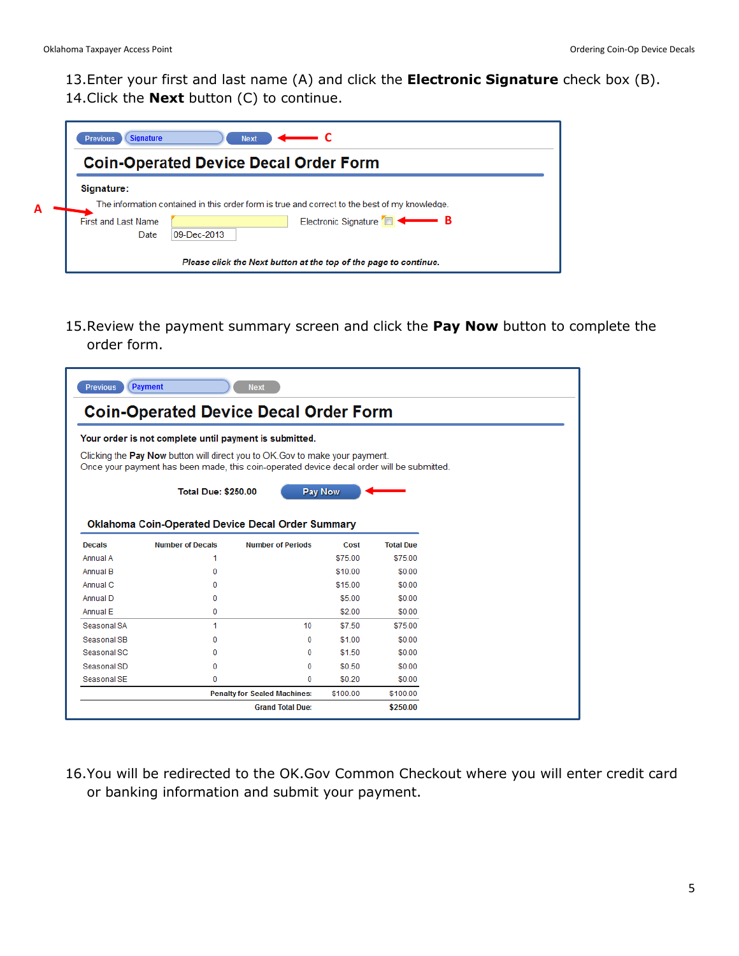13.Enter your first and last name (A) and click the **Electronic Signature** check box (B). 14.Click the **Next** button (C) to continue.

|   | <b>Signature</b><br><b>Previous</b><br><b>Next</b>                                                          |
|---|-------------------------------------------------------------------------------------------------------------|
|   | <b>Coin-Operated Device Decal Order Form</b>                                                                |
| A | Signature:<br>The information contained in this order form is true and correct to the best of my knowledge. |
|   | Electronic Signature <b>B</b><br>First and Last Name<br>09-Dec-2013<br>Date                                 |
|   | Please click the Next button at the top of the page to continue.                                            |

15.Review the payment summary screen and click the **Pay Now** button to complete the order form.

| <b>Previous</b> | Payment                                                | <b>Next</b>                                                                                                                                                                      |          |                  |
|-----------------|--------------------------------------------------------|----------------------------------------------------------------------------------------------------------------------------------------------------------------------------------|----------|------------------|
|                 |                                                        | <b>Coin-Operated Device Decal Order Form</b>                                                                                                                                     |          |                  |
|                 | Your order is not complete until payment is submitted. |                                                                                                                                                                                  |          |                  |
|                 |                                                        | Clicking the <b>Pay Now</b> button will direct you to OK. Gov to make your payment.<br>Once your payment has been made, this coin-operated device decal order will be submitted. |          |                  |
|                 | <b>Total Due: \$250.00</b>                             | <b>Pay Now</b>                                                                                                                                                                   |          |                  |
|                 |                                                        | <b>Oklahoma Coin-Operated Device Decal Order Summary</b>                                                                                                                         |          |                  |
| <b>Decals</b>   | <b>Number of Decals</b>                                | <b>Number of Periods</b>                                                                                                                                                         | Cost     | <b>Total Due</b> |
| Annual A        | 1                                                      |                                                                                                                                                                                  | \$75.00  | \$75.00          |
| Annual B        | 0                                                      |                                                                                                                                                                                  | \$10.00  | \$0.00           |
| Annual C        | 0                                                      |                                                                                                                                                                                  | \$15.00  | \$0.00           |
| Annual D        | 0                                                      |                                                                                                                                                                                  | \$5.00   | \$0.00           |
| Annual E        | 0                                                      |                                                                                                                                                                                  | \$2.00   | \$0.00           |
| Seasonal SA     | 1                                                      | 10                                                                                                                                                                               | \$7.50   | \$75.00          |
| Seasonal SB     | 0                                                      | 0                                                                                                                                                                                | \$1.00   | \$0.00           |
| Seasonal SC     | 0                                                      | 0                                                                                                                                                                                | \$1.50   | \$0.00           |
| Seasonal SD     | 0                                                      | 0                                                                                                                                                                                | \$0.50   | \$0.00           |
| Seasonal SE     | 0                                                      | 0                                                                                                                                                                                | \$0.20   | \$0.00           |
|                 |                                                        |                                                                                                                                                                                  |          |                  |
|                 |                                                        | <b>Penalty for Sealed Machines:</b>                                                                                                                                              | \$100.00 | \$100.00         |

16.You will be redirected to the OK.Gov Common Checkout where you will enter credit card or banking information and submit your payment.